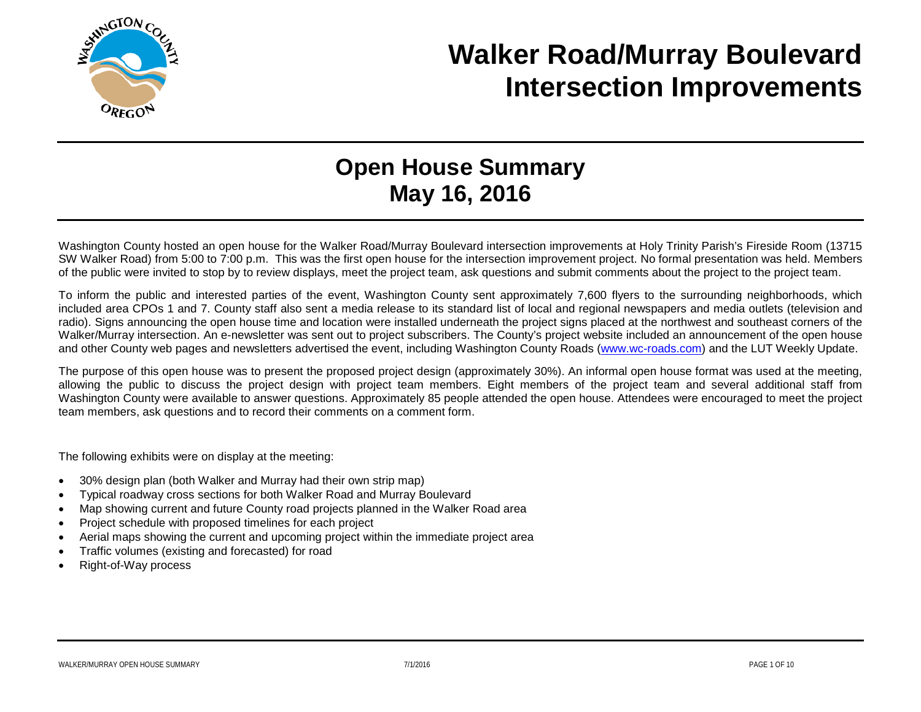

## **Walker Road/Murray Boulevard Intersection Improvements**

## **Open House Summary May 16, 2016**

Washington County hosted an open house for the Walker Road/Murray Boulevard intersection improvements at Holy Trinity Parish's Fireside Room (13715 SW Walker Road) from 5:00 to 7:00 p.m. This was the first open house for the intersection improvement project. No formal presentation was held. Members of the public were invited to stop by to review displays, meet the project team, ask questions and submit comments about the project to the project team.

To inform the public and interested parties of the event, Washington County sent approximately 7,600 flyers to the surrounding neighborhoods, which included area CPOs 1 and 7. County staff also sent a media release to its standard list of local and regional newspapers and media outlets (television and radio). Signs announcing the open house time and location were installed underneath the project signs placed at the northwest and southeast corners of the Walker/Murray intersection. An e-newsletter was sent out to project subscribers. The County's project website included an announcement of the open house and other County web pages and newsletters advertised the event, including Washington County Roads [\(www.wc-roads.com\)](http://www.wc-roads.com/) and the LUT Weekly Update.

The purpose of this open house was to present the proposed project design (approximately 30%). An informal open house format was used at the meeting, allowing the public to discuss the project design with project team members. Eight members of the project team and several additional staff from Washington County were available to answer questions. Approximately 85 people attended the open house. Attendees were encouraged to meet the project team members, ask questions and to record their comments on a comment form.

The following exhibits were on display at the meeting:

- 30% design plan (both Walker and Murray had their own strip map)
- Typical roadway cross sections for both Walker Road and Murray Boulevard
- Map showing current and future County road projects planned in the Walker Road area
- Project schedule with proposed timelines for each project
- Aerial maps showing the current and upcoming project within the immediate project area
- Traffic volumes (existing and forecasted) for road
- Right-of-Way process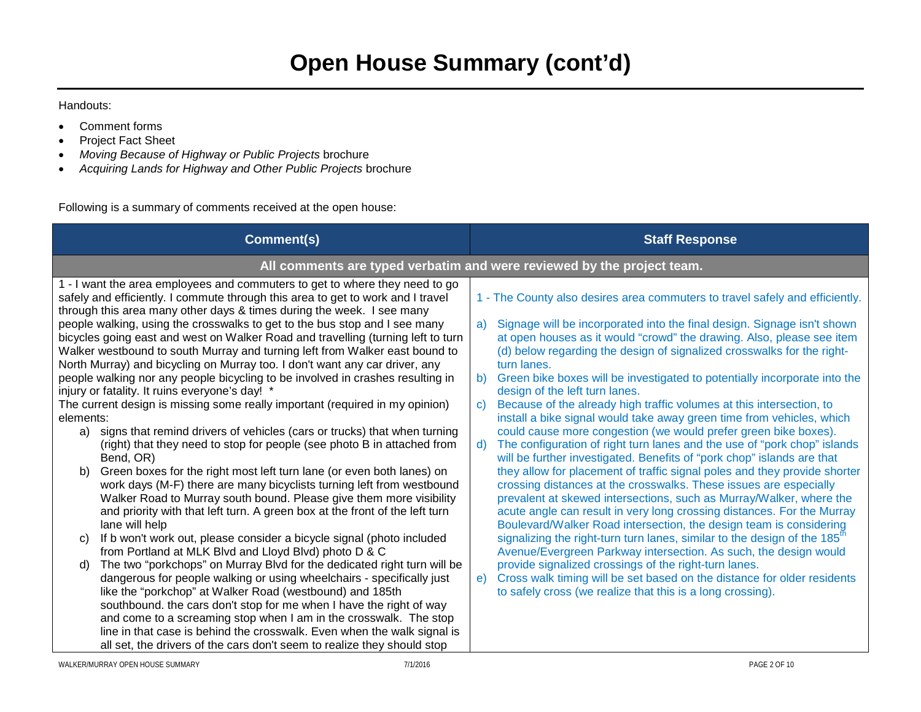Handouts:

- Comment forms
- Project Fact Sheet
- *Moving Because of Highway or Public Projects* brochure
- *Acquiring Lands for Highway and Other Public Projects* brochure

Following is a summary of comments received at the open house:

| All comments are typed verbatim and were reviewed by the project team.<br>1 - The County also desires area commuters to travel safely and efficiently.                                                                                                                                                                                                                                                                                                                                                                                                                                                                                                                                                                                                                                                                                                                                                                                                                                                                                                                                                                                                                                                                                                                                                                                                                                                                                                      |
|-------------------------------------------------------------------------------------------------------------------------------------------------------------------------------------------------------------------------------------------------------------------------------------------------------------------------------------------------------------------------------------------------------------------------------------------------------------------------------------------------------------------------------------------------------------------------------------------------------------------------------------------------------------------------------------------------------------------------------------------------------------------------------------------------------------------------------------------------------------------------------------------------------------------------------------------------------------------------------------------------------------------------------------------------------------------------------------------------------------------------------------------------------------------------------------------------------------------------------------------------------------------------------------------------------------------------------------------------------------------------------------------------------------------------------------------------------------|
|                                                                                                                                                                                                                                                                                                                                                                                                                                                                                                                                                                                                                                                                                                                                                                                                                                                                                                                                                                                                                                                                                                                                                                                                                                                                                                                                                                                                                                                             |
| Signage will be incorporated into the final design. Signage isn't shown<br>at open houses as it would "crowd" the drawing. Also, please see item<br>(d) below regarding the design of signalized crosswalks for the right-<br>Green bike boxes will be investigated to potentially incorporate into the<br>design of the left turn lanes.<br>Because of the already high traffic volumes at this intersection, to<br>install a bike signal would take away green time from vehicles, which<br>could cause more congestion (we would prefer green bike boxes).<br>The configuration of right turn lanes and the use of "pork chop" islands<br>will be further investigated. Benefits of "pork chop" islands are that<br>they allow for placement of traffic signal poles and they provide shorter<br>crossing distances at the crosswalks. These issues are especially<br>prevalent at skewed intersections, such as Murray/Walker, where the<br>acute angle can result in very long crossing distances. For the Murray<br>Boulevard/Walker Road intersection, the design team is considering<br>signalizing the right-turn turn lanes, similar to the design of the 185 <sup>th</sup><br>Avenue/Evergreen Parkway intersection. As such, the design would<br>provide signalized crossings of the right-turn lanes.<br>Cross walk timing will be set based on the distance for older residents<br>to safely cross (we realize that this is a long crossing). |
|                                                                                                                                                                                                                                                                                                                                                                                                                                                                                                                                                                                                                                                                                                                                                                                                                                                                                                                                                                                                                                                                                                                                                                                                                                                                                                                                                                                                                                                             |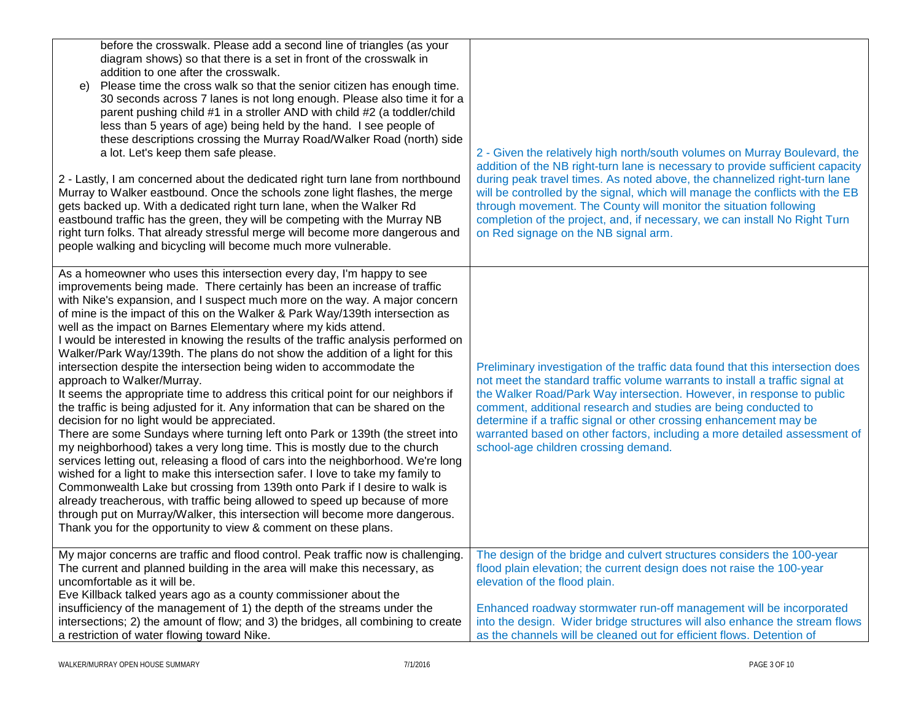| before the crosswalk. Please add a second line of triangles (as your<br>diagram shows) so that there is a set in front of the crosswalk in<br>addition to one after the crosswalk.<br>Please time the cross walk so that the senior citizen has enough time.<br>e)<br>30 seconds across 7 lanes is not long enough. Please also time it for a<br>parent pushing child #1 in a stroller AND with child #2 (a toddler/child<br>less than 5 years of age) being held by the hand. I see people of<br>these descriptions crossing the Murray Road/Walker Road (north) side<br>a lot. Let's keep them safe please.<br>2 - Lastly, I am concerned about the dedicated right turn lane from northbound<br>Murray to Walker eastbound. Once the schools zone light flashes, the merge<br>gets backed up. With a dedicated right turn lane, when the Walker Rd<br>eastbound traffic has the green, they will be competing with the Murray NB<br>right turn folks. That already stressful merge will become more dangerous and<br>people walking and bicycling will become much more vulnerable.                                                                                                                                                                                                                                                                                                                                                                                                                                                   | 2 - Given the relatively high north/south volumes on Murray Boulevard, the<br>addition of the NB right-turn lane is necessary to provide sufficient capacity<br>during peak travel times. As noted above, the channelized right-turn lane<br>will be controlled by the signal, which will manage the conflicts with the EB<br>through movement. The County will monitor the situation following<br>completion of the project, and, if necessary, we can install No Right Turn<br>on Red signage on the NB signal arm. |
|------------------------------------------------------------------------------------------------------------------------------------------------------------------------------------------------------------------------------------------------------------------------------------------------------------------------------------------------------------------------------------------------------------------------------------------------------------------------------------------------------------------------------------------------------------------------------------------------------------------------------------------------------------------------------------------------------------------------------------------------------------------------------------------------------------------------------------------------------------------------------------------------------------------------------------------------------------------------------------------------------------------------------------------------------------------------------------------------------------------------------------------------------------------------------------------------------------------------------------------------------------------------------------------------------------------------------------------------------------------------------------------------------------------------------------------------------------------------------------------------------------------------------------------|-----------------------------------------------------------------------------------------------------------------------------------------------------------------------------------------------------------------------------------------------------------------------------------------------------------------------------------------------------------------------------------------------------------------------------------------------------------------------------------------------------------------------|
| As a homeowner who uses this intersection every day, I'm happy to see<br>improvements being made. There certainly has been an increase of traffic<br>with Nike's expansion, and I suspect much more on the way. A major concern<br>of mine is the impact of this on the Walker & Park Way/139th intersection as<br>well as the impact on Barnes Elementary where my kids attend.<br>I would be interested in knowing the results of the traffic analysis performed on<br>Walker/Park Way/139th. The plans do not show the addition of a light for this<br>intersection despite the intersection being widen to accommodate the<br>approach to Walker/Murray.<br>It seems the appropriate time to address this critical point for our neighbors if<br>the traffic is being adjusted for it. Any information that can be shared on the<br>decision for no light would be appreciated.<br>There are some Sundays where turning left onto Park or 139th (the street into<br>my neighborhood) takes a very long time. This is mostly due to the church<br>services letting out, releasing a flood of cars into the neighborhood. We're long<br>wished for a light to make this intersection safer. I love to take my family to<br>Commonwealth Lake but crossing from 139th onto Park if I desire to walk is<br>already treacherous, with traffic being allowed to speed up because of more<br>through put on Murray/Walker, this intersection will become more dangerous.<br>Thank you for the opportunity to view & comment on these plans. | Preliminary investigation of the traffic data found that this intersection does<br>not meet the standard traffic volume warrants to install a traffic signal at<br>the Walker Road/Park Way intersection. However, in response to public<br>comment, additional research and studies are being conducted to<br>determine if a traffic signal or other crossing enhancement may be<br>warranted based on other factors, including a more detailed assessment of<br>school-age children crossing demand.                |
| My major concerns are traffic and flood control. Peak traffic now is challenging.<br>The current and planned building in the area will make this necessary, as<br>uncomfortable as it will be.<br>Eve Killback talked years ago as a county commissioner about the<br>insufficiency of the management of 1) the depth of the streams under the<br>intersections; 2) the amount of flow; and 3) the bridges, all combining to create<br>a restriction of water flowing toward Nike.                                                                                                                                                                                                                                                                                                                                                                                                                                                                                                                                                                                                                                                                                                                                                                                                                                                                                                                                                                                                                                                       | The design of the bridge and culvert structures considers the 100-year<br>flood plain elevation; the current design does not raise the 100-year<br>elevation of the flood plain.<br>Enhanced roadway stormwater run-off management will be incorporated<br>into the design. Wider bridge structures will also enhance the stream flows<br>as the channels will be cleaned out for efficient flows. Detention of                                                                                                       |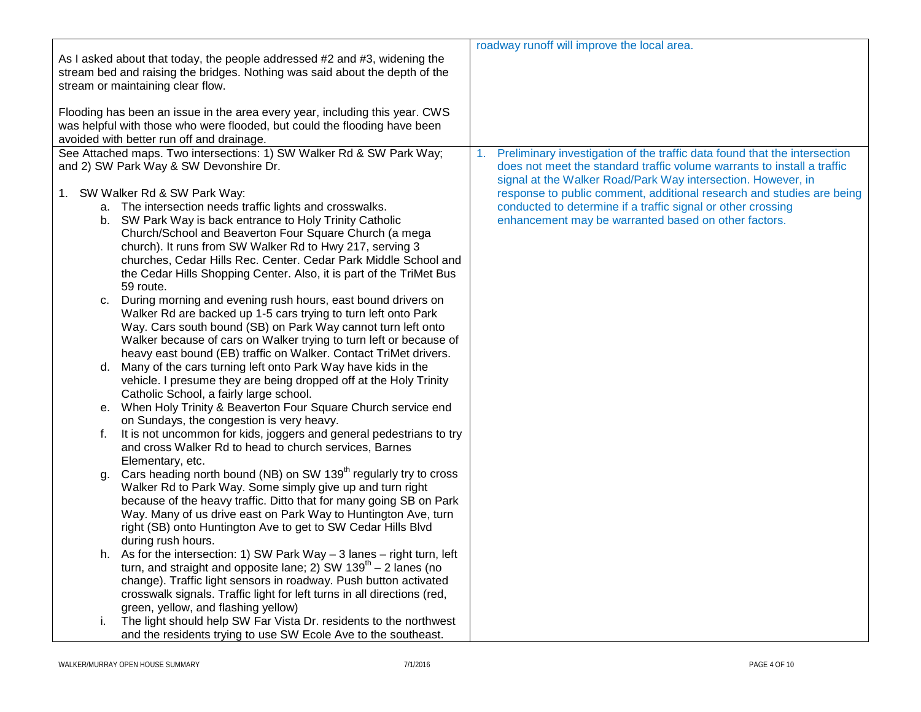| As I asked about that today, the people addressed #2 and #3, widening the                                                                                                                             | roadway runoff will improve the local area.                                                                                             |
|-------------------------------------------------------------------------------------------------------------------------------------------------------------------------------------------------------|-----------------------------------------------------------------------------------------------------------------------------------------|
| stream bed and raising the bridges. Nothing was said about the depth of the<br>stream or maintaining clear flow.                                                                                      |                                                                                                                                         |
| Flooding has been an issue in the area every year, including this year. CWS<br>was helpful with those who were flooded, but could the flooding have been<br>avoided with better run off and drainage. |                                                                                                                                         |
| See Attached maps. Two intersections: 1) SW Walker Rd & SW Park Way;                                                                                                                                  | Preliminary investigation of the traffic data found that the intersection<br>1.                                                         |
| and 2) SW Park Way & SW Devonshire Dr.                                                                                                                                                                | does not meet the standard traffic volume warrants to install a traffic<br>signal at the Walker Road/Park Way intersection. However, in |
| 1. SW Walker Rd & SW Park Way:                                                                                                                                                                        | response to public comment, additional research and studies are being                                                                   |
| a. The intersection needs traffic lights and crosswalks.                                                                                                                                              | conducted to determine if a traffic signal or other crossing                                                                            |
| b. SW Park Way is back entrance to Holy Trinity Catholic                                                                                                                                              | enhancement may be warranted based on other factors.                                                                                    |
| Church/School and Beaverton Four Square Church (a mega                                                                                                                                                |                                                                                                                                         |
| church). It runs from SW Walker Rd to Hwy 217, serving 3                                                                                                                                              |                                                                                                                                         |
| churches, Cedar Hills Rec. Center. Cedar Park Middle School and                                                                                                                                       |                                                                                                                                         |
| the Cedar Hills Shopping Center. Also, it is part of the TriMet Bus                                                                                                                                   |                                                                                                                                         |
| 59 route.                                                                                                                                                                                             |                                                                                                                                         |
| During morning and evening rush hours, east bound drivers on<br>c.                                                                                                                                    |                                                                                                                                         |
| Walker Rd are backed up 1-5 cars trying to turn left onto Park                                                                                                                                        |                                                                                                                                         |
| Way. Cars south bound (SB) on Park Way cannot turn left onto                                                                                                                                          |                                                                                                                                         |
| Walker because of cars on Walker trying to turn left or because of<br>heavy east bound (EB) traffic on Walker. Contact TriMet drivers.                                                                |                                                                                                                                         |
| d. Many of the cars turning left onto Park Way have kids in the                                                                                                                                       |                                                                                                                                         |
| vehicle. I presume they are being dropped off at the Holy Trinity                                                                                                                                     |                                                                                                                                         |
| Catholic School, a fairly large school.                                                                                                                                                               |                                                                                                                                         |
| e. When Holy Trinity & Beaverton Four Square Church service end                                                                                                                                       |                                                                                                                                         |
| on Sundays, the congestion is very heavy.                                                                                                                                                             |                                                                                                                                         |
| It is not uncommon for kids, joggers and general pedestrians to try<br>f.                                                                                                                             |                                                                                                                                         |
| and cross Walker Rd to head to church services, Barnes                                                                                                                                                |                                                                                                                                         |
| Elementary, etc.                                                                                                                                                                                      |                                                                                                                                         |
| Cars heading north bound (NB) on SW 139 <sup>th</sup> regularly try to cross<br>q.                                                                                                                    |                                                                                                                                         |
| Walker Rd to Park Way. Some simply give up and turn right                                                                                                                                             |                                                                                                                                         |
| because of the heavy traffic. Ditto that for many going SB on Park                                                                                                                                    |                                                                                                                                         |
| Way. Many of us drive east on Park Way to Huntington Ave, turn                                                                                                                                        |                                                                                                                                         |
| right (SB) onto Huntington Ave to get to SW Cedar Hills Blvd                                                                                                                                          |                                                                                                                                         |
| during rush hours.                                                                                                                                                                                    |                                                                                                                                         |
| h. As for the intersection: 1) SW Park Way $-$ 3 lanes $-$ right turn, left                                                                                                                           |                                                                                                                                         |
| turn, and straight and opposite lane; 2) SW $139th - 2$ lanes (no                                                                                                                                     |                                                                                                                                         |
| change). Traffic light sensors in roadway. Push button activated                                                                                                                                      |                                                                                                                                         |
| crosswalk signals. Traffic light for left turns in all directions (red,                                                                                                                               |                                                                                                                                         |
| green, yellow, and flashing yellow)                                                                                                                                                                   |                                                                                                                                         |
| The light should help SW Far Vista Dr. residents to the northwest<br>i.                                                                                                                               |                                                                                                                                         |
| and the residents trying to use SW Ecole Ave to the southeast.                                                                                                                                        |                                                                                                                                         |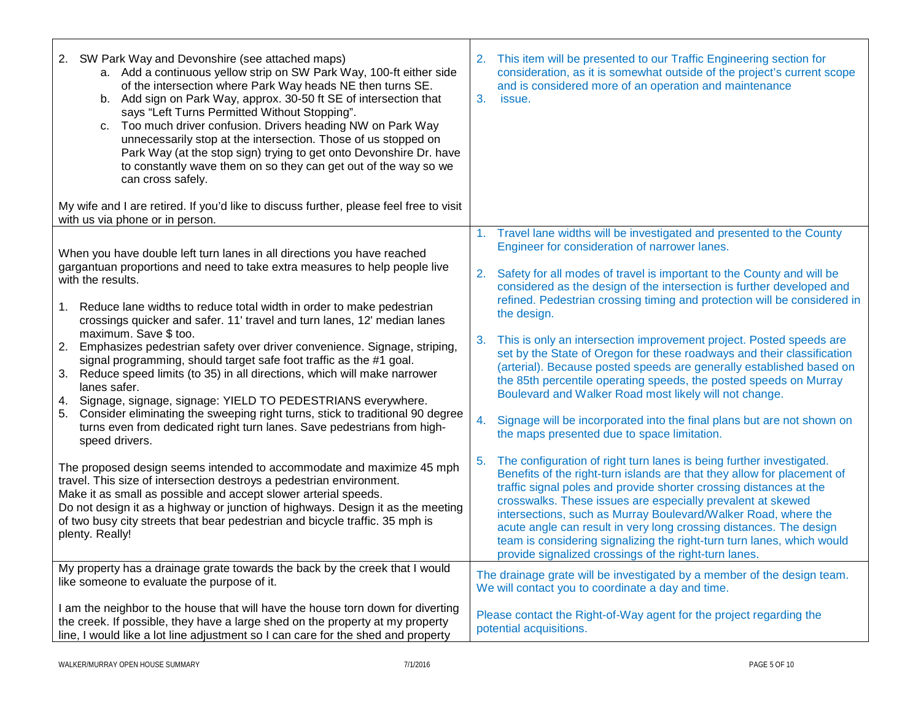| 2. SW Park Way and Devonshire (see attached maps)<br>a. Add a continuous yellow strip on SW Park Way, 100-ft either side<br>of the intersection where Park Way heads NE then turns SE.<br>b. Add sign on Park Way, approx. 30-50 ft SE of intersection that<br>says "Left Turns Permitted Without Stopping".<br>c. Too much driver confusion. Drivers heading NW on Park Way<br>unnecessarily stop at the intersection. Those of us stopped on<br>Park Way (at the stop sign) trying to get onto Devonshire Dr. have<br>to constantly wave them on so they can get out of the way so we<br>can cross safely. | This item will be presented to our Traffic Engineering section for<br>2.<br>consideration, as it is somewhat outside of the project's current scope<br>and is considered more of an operation and maintenance<br>3.<br>issue.                                                                                                                                                                                                                                                                                                                                         |
|--------------------------------------------------------------------------------------------------------------------------------------------------------------------------------------------------------------------------------------------------------------------------------------------------------------------------------------------------------------------------------------------------------------------------------------------------------------------------------------------------------------------------------------------------------------------------------------------------------------|-----------------------------------------------------------------------------------------------------------------------------------------------------------------------------------------------------------------------------------------------------------------------------------------------------------------------------------------------------------------------------------------------------------------------------------------------------------------------------------------------------------------------------------------------------------------------|
| My wife and I are retired. If you'd like to discuss further, please feel free to visit<br>with us via phone or in person.                                                                                                                                                                                                                                                                                                                                                                                                                                                                                    |                                                                                                                                                                                                                                                                                                                                                                                                                                                                                                                                                                       |
| When you have double left turn lanes in all directions you have reached                                                                                                                                                                                                                                                                                                                                                                                                                                                                                                                                      | Travel lane widths will be investigated and presented to the County<br>1.<br>Engineer for consideration of narrower lanes.                                                                                                                                                                                                                                                                                                                                                                                                                                            |
| gargantuan proportions and need to take extra measures to help people live<br>with the results.                                                                                                                                                                                                                                                                                                                                                                                                                                                                                                              | Safety for all modes of travel is important to the County and will be<br>2.<br>considered as the design of the intersection is further developed and                                                                                                                                                                                                                                                                                                                                                                                                                  |
| Reduce lane widths to reduce total width in order to make pedestrian<br>1.<br>crossings quicker and safer. 11' travel and turn lanes, 12' median lanes                                                                                                                                                                                                                                                                                                                                                                                                                                                       | refined. Pedestrian crossing timing and protection will be considered in<br>the design.                                                                                                                                                                                                                                                                                                                                                                                                                                                                               |
| maximum. Save \$ too.<br>2. Emphasizes pedestrian safety over driver convenience. Signage, striping,<br>signal programming, should target safe foot traffic as the #1 goal.<br>Reduce speed limits (to 35) in all directions, which will make narrower<br>3.<br>lanes safer.                                                                                                                                                                                                                                                                                                                                 | This is only an intersection improvement project. Posted speeds are<br>3.<br>set by the State of Oregon for these roadways and their classification<br>(arterial). Because posted speeds are generally established based on<br>the 85th percentile operating speeds, the posted speeds on Murray<br>Boulevard and Walker Road most likely will not change.                                                                                                                                                                                                            |
| 4. Signage, signage, signage: YIELD TO PEDESTRIANS everywhere.<br>Consider eliminating the sweeping right turns, stick to traditional 90 degree<br>5.<br>turns even from dedicated right turn lanes. Save pedestrians from high-<br>speed drivers.                                                                                                                                                                                                                                                                                                                                                           | Signage will be incorporated into the final plans but are not shown on<br>4.<br>the maps presented due to space limitation.                                                                                                                                                                                                                                                                                                                                                                                                                                           |
| The proposed design seems intended to accommodate and maximize 45 mph<br>travel. This size of intersection destroys a pedestrian environment.<br>Make it as small as possible and accept slower arterial speeds.<br>Do not design it as a highway or junction of highways. Design it as the meeting<br>of two busy city streets that bear pedestrian and bicycle traffic. 35 mph is<br>plenty. Really!                                                                                                                                                                                                       | The configuration of right turn lanes is being further investigated.<br>5.<br>Benefits of the right-turn islands are that they allow for placement of<br>traffic signal poles and provide shorter crossing distances at the<br>crosswalks. These issues are especially prevalent at skewed<br>intersections, such as Murray Boulevard/Walker Road, where the<br>acute angle can result in very long crossing distances. The design<br>team is considering signalizing the right-turn turn lanes, which would<br>provide signalized crossings of the right-turn lanes. |
| My property has a drainage grate towards the back by the creek that I would<br>like someone to evaluate the purpose of it.                                                                                                                                                                                                                                                                                                                                                                                                                                                                                   | The drainage grate will be investigated by a member of the design team.<br>We will contact you to coordinate a day and time.                                                                                                                                                                                                                                                                                                                                                                                                                                          |
| I am the neighbor to the house that will have the house torn down for diverting<br>the creek. If possible, they have a large shed on the property at my property<br>line, I would like a lot line adjustment so I can care for the shed and property                                                                                                                                                                                                                                                                                                                                                         | Please contact the Right-of-Way agent for the project regarding the<br>potential acquisitions.                                                                                                                                                                                                                                                                                                                                                                                                                                                                        |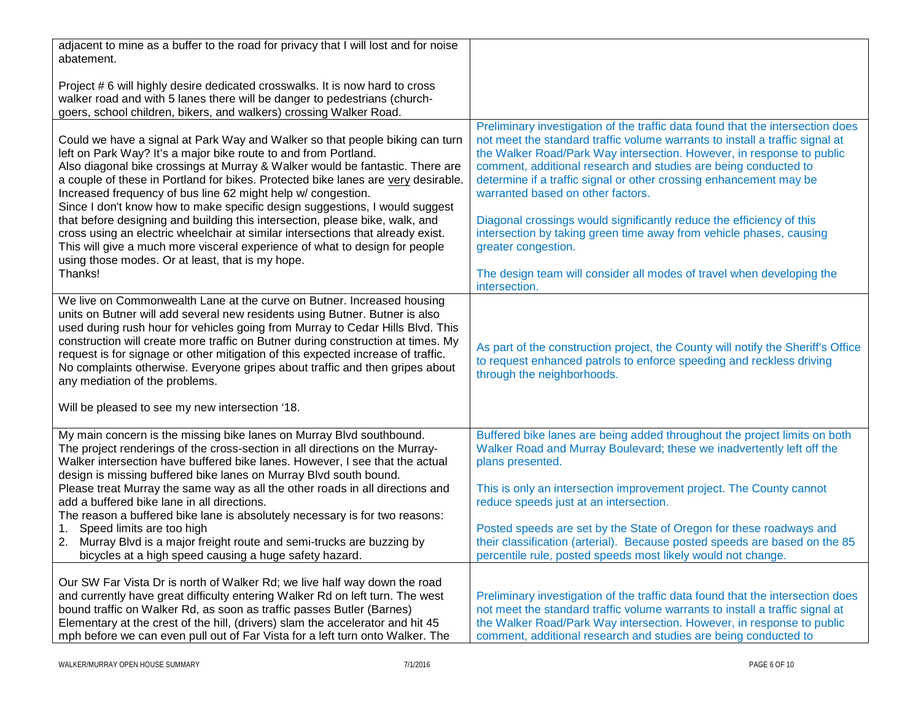| adjacent to mine as a buffer to the road for privacy that I will lost and for noise<br>abatement.                                                                                                                                                                                                                                                                                                                                                                                                                                                                                                                                                                                                                                                                                     |                                                                                                                                                                                                                                                                                                                                                                                                                                                                                                                                                                                                                                                                                       |
|---------------------------------------------------------------------------------------------------------------------------------------------------------------------------------------------------------------------------------------------------------------------------------------------------------------------------------------------------------------------------------------------------------------------------------------------------------------------------------------------------------------------------------------------------------------------------------------------------------------------------------------------------------------------------------------------------------------------------------------------------------------------------------------|---------------------------------------------------------------------------------------------------------------------------------------------------------------------------------------------------------------------------------------------------------------------------------------------------------------------------------------------------------------------------------------------------------------------------------------------------------------------------------------------------------------------------------------------------------------------------------------------------------------------------------------------------------------------------------------|
| Project # 6 will highly desire dedicated crosswalks. It is now hard to cross<br>walker road and with 5 lanes there will be danger to pedestrians (church-<br>goers, school children, bikers, and walkers) crossing Walker Road.                                                                                                                                                                                                                                                                                                                                                                                                                                                                                                                                                       |                                                                                                                                                                                                                                                                                                                                                                                                                                                                                                                                                                                                                                                                                       |
| Could we have a signal at Park Way and Walker so that people biking can turn<br>left on Park Way? It's a major bike route to and from Portland.<br>Also diagonal bike crossings at Murray & Walker would be fantastic. There are<br>a couple of these in Portland for bikes. Protected bike lanes are very desirable.<br>Increased frequency of bus line 62 might help w/ congestion.<br>Since I don't know how to make specific design suggestions, I would suggest<br>that before designing and building this intersection, please bike, walk, and<br>cross using an electric wheelchair at similar intersections that already exist.<br>This will give a much more visceral experience of what to design for people<br>using those modes. Or at least, that is my hope.<br>Thanks! | Preliminary investigation of the traffic data found that the intersection does<br>not meet the standard traffic volume warrants to install a traffic signal at<br>the Walker Road/Park Way intersection. However, in response to public<br>comment, additional research and studies are being conducted to<br>determine if a traffic signal or other crossing enhancement may be<br>warranted based on other factors.<br>Diagonal crossings would significantly reduce the efficiency of this<br>intersection by taking green time away from vehicle phases, causing<br>greater congestion.<br>The design team will consider all modes of travel when developing the<br>intersection. |
| We live on Commonwealth Lane at the curve on Butner. Increased housing<br>units on Butner will add several new residents using Butner. Butner is also<br>used during rush hour for vehicles going from Murray to Cedar Hills Blvd. This<br>construction will create more traffic on Butner during construction at times. My<br>request is for signage or other mitigation of this expected increase of traffic.<br>No complaints otherwise. Everyone gripes about traffic and then gripes about<br>any mediation of the problems.<br>Will be pleased to see my new intersection '18.                                                                                                                                                                                                  | As part of the construction project, the County will notify the Sheriff's Office<br>to request enhanced patrols to enforce speeding and reckless driving<br>through the neighborhoods.                                                                                                                                                                                                                                                                                                                                                                                                                                                                                                |
| My main concern is the missing bike lanes on Murray Blvd southbound.<br>The project renderings of the cross-section in all directions on the Murray-<br>Walker intersection have buffered bike lanes. However, I see that the actual<br>design is missing buffered bike lanes on Murray Blvd south bound.                                                                                                                                                                                                                                                                                                                                                                                                                                                                             | Buffered bike lanes are being added throughout the project limits on both<br>Walker Road and Murray Boulevard; these we inadvertently left off the<br>plans presented.                                                                                                                                                                                                                                                                                                                                                                                                                                                                                                                |
| Please treat Murray the same way as all the other roads in all directions and<br>add a buffered bike lane in all directions.<br>The reason a buffered bike lane is absolutely necessary is for two reasons:<br>Speed limits are too high<br>1.                                                                                                                                                                                                                                                                                                                                                                                                                                                                                                                                        | This is only an intersection improvement project. The County cannot<br>reduce speeds just at an intersection.<br>Posted speeds are set by the State of Oregon for these roadways and                                                                                                                                                                                                                                                                                                                                                                                                                                                                                                  |
| 2. Murray Blvd is a major freight route and semi-trucks are buzzing by<br>bicycles at a high speed causing a huge safety hazard.                                                                                                                                                                                                                                                                                                                                                                                                                                                                                                                                                                                                                                                      | their classification (arterial). Because posted speeds are based on the 85<br>percentile rule, posted speeds most likely would not change.                                                                                                                                                                                                                                                                                                                                                                                                                                                                                                                                            |
| Our SW Far Vista Dr is north of Walker Rd; we live half way down the road<br>and currently have great difficulty entering Walker Rd on left turn. The west<br>bound traffic on Walker Rd, as soon as traffic passes Butler (Barnes)<br>Elementary at the crest of the hill, (drivers) slam the accelerator and hit 45<br>mph before we can even pull out of Far Vista for a left turn onto Walker. The                                                                                                                                                                                                                                                                                                                                                                                | Preliminary investigation of the traffic data found that the intersection does<br>not meet the standard traffic volume warrants to install a traffic signal at<br>the Walker Road/Park Way intersection. However, in response to public<br>comment, additional research and studies are being conducted to                                                                                                                                                                                                                                                                                                                                                                            |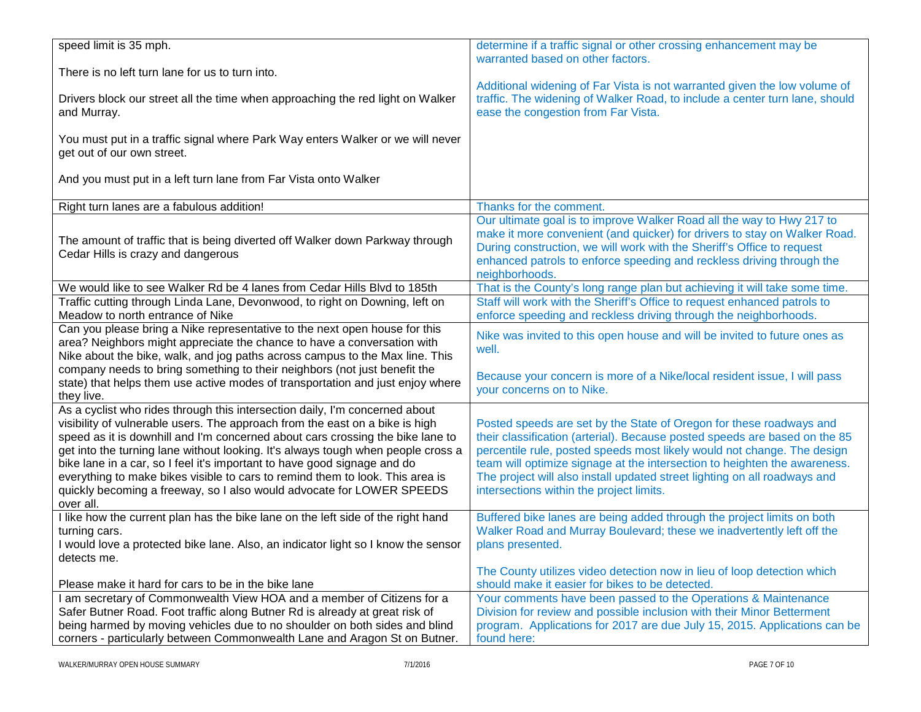| speed limit is 35 mph.                                                            | determine if a traffic signal or other crossing enhancement may be          |
|-----------------------------------------------------------------------------------|-----------------------------------------------------------------------------|
|                                                                                   | warranted based on other factors.                                           |
| There is no left turn lane for us to turn into.                                   |                                                                             |
|                                                                                   | Additional widening of Far Vista is not warranted given the low volume of   |
| Drivers block our street all the time when approaching the red light on Walker    | traffic. The widening of Walker Road, to include a center turn lane, should |
| and Murray.                                                                       | ease the congestion from Far Vista.                                         |
|                                                                                   |                                                                             |
| You must put in a traffic signal where Park Way enters Walker or we will never    |                                                                             |
| get out of our own street.                                                        |                                                                             |
|                                                                                   |                                                                             |
| And you must put in a left turn lane from Far Vista onto Walker                   |                                                                             |
|                                                                                   |                                                                             |
| Right turn lanes are a fabulous addition!                                         | Thanks for the comment.                                                     |
|                                                                                   |                                                                             |
|                                                                                   | Our ultimate goal is to improve Walker Road all the way to Hwy 217 to       |
| The amount of traffic that is being diverted off Walker down Parkway through      | make it more convenient (and quicker) for drivers to stay on Walker Road.   |
| Cedar Hills is crazy and dangerous                                                | During construction, we will work with the Sheriff's Office to request      |
|                                                                                   | enhanced patrols to enforce speeding and reckless driving through the       |
|                                                                                   | neighborhoods.                                                              |
| We would like to see Walker Rd be 4 lanes from Cedar Hills Blvd to 185th          | That is the County's long range plan but achieving it will take some time.  |
| Traffic cutting through Linda Lane, Devonwood, to right on Downing, left on       | Staff will work with the Sheriff's Office to request enhanced patrols to    |
| Meadow to north entrance of Nike                                                  | enforce speeding and reckless driving through the neighborhoods.            |
| Can you please bring a Nike representative to the next open house for this        |                                                                             |
|                                                                                   | Nike was invited to this open house and will be invited to future ones as   |
| area? Neighbors might appreciate the chance to have a conversation with           | well.                                                                       |
| Nike about the bike, walk, and jog paths across campus to the Max line. This      |                                                                             |
| company needs to bring something to their neighbors (not just benefit the         | Because your concern is more of a Nike/local resident issue, I will pass    |
| state) that helps them use active modes of transportation and just enjoy where    | your concerns on to Nike.                                                   |
| they live.                                                                        |                                                                             |
| As a cyclist who rides through this intersection daily, I'm concerned about       |                                                                             |
| visibility of vulnerable users. The approach from the east on a bike is high      | Posted speeds are set by the State of Oregon for these roadways and         |
| speed as it is downhill and I'm concerned about cars crossing the bike lane to    | their classification (arterial). Because posted speeds are based on the 85  |
| get into the turning lane without looking. It's always tough when people cross a  | percentile rule, posted speeds most likely would not change. The design     |
| bike lane in a car, so I feel it's important to have good signage and do          | team will optimize signage at the intersection to heighten the awareness.   |
| everything to make bikes visible to cars to remind them to look. This area is     | The project will also install updated street lighting on all roadways and   |
| quickly becoming a freeway, so I also would advocate for LOWER SPEEDS             | intersections within the project limits.                                    |
| over all.                                                                         |                                                                             |
| I like how the current plan has the bike lane on the left side of the right hand  | Buffered bike lanes are being added through the project limits on both      |
|                                                                                   |                                                                             |
| turning cars.                                                                     | Walker Road and Murray Boulevard; these we inadvertently left off the       |
| I would love a protected bike lane. Also, an indicator light so I know the sensor | plans presented.                                                            |
| detects me.                                                                       |                                                                             |
|                                                                                   | The County utilizes video detection now in lieu of loop detection which     |
| Please make it hard for cars to be in the bike lane                               | should make it easier for bikes to be detected.                             |
| I am secretary of Commonwealth View HOA and a member of Citizens for a            | Your comments have been passed to the Operations & Maintenance              |
| Safer Butner Road. Foot traffic along Butner Rd is already at great risk of       | Division for review and possible inclusion with their Minor Betterment      |
| being harmed by moving vehicles due to no shoulder on both sides and blind        | program. Applications for 2017 are due July 15, 2015. Applications can be   |
| corners - particularly between Commonwealth Lane and Aragon St on Butner.         | found here:                                                                 |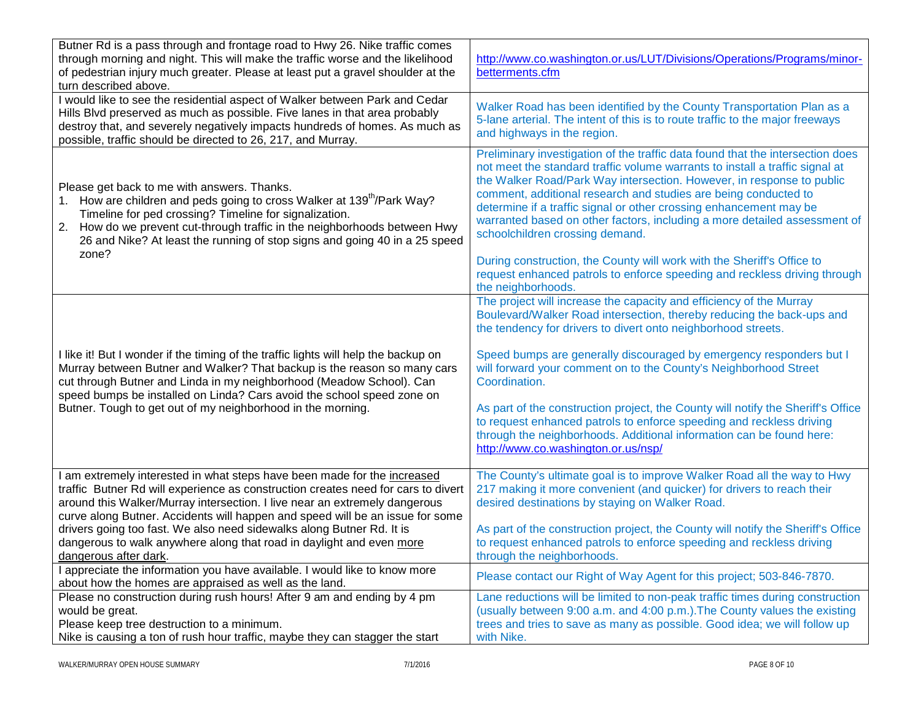| Butner Rd is a pass through and frontage road to Hwy 26. Nike traffic comes<br>through morning and night. This will make the traffic worse and the likelihood<br>of pedestrian injury much greater. Please at least put a gravel shoulder at the<br>turn described above.                                                                                 | http://www.co.washington.or.us/LUT/Divisions/Operations/Programs/minor-<br>betterments.cfm                                                                                                                                                                                                                                                                                                                                                                                                       |
|-----------------------------------------------------------------------------------------------------------------------------------------------------------------------------------------------------------------------------------------------------------------------------------------------------------------------------------------------------------|--------------------------------------------------------------------------------------------------------------------------------------------------------------------------------------------------------------------------------------------------------------------------------------------------------------------------------------------------------------------------------------------------------------------------------------------------------------------------------------------------|
| I would like to see the residential aspect of Walker between Park and Cedar<br>Hills Blvd preserved as much as possible. Five lanes in that area probably<br>destroy that, and severely negatively impacts hundreds of homes. As much as<br>possible, traffic should be directed to 26, 217, and Murray.                                                  | Walker Road has been identified by the County Transportation Plan as a<br>5-lane arterial. The intent of this is to route traffic to the major freeways<br>and highways in the region.                                                                                                                                                                                                                                                                                                           |
| Please get back to me with answers. Thanks.<br>1. How are children and peds going to cross Walker at 139 <sup>th</sup> /Park Way?<br>Timeline for ped crossing? Timeline for signalization.<br>How do we prevent cut-through traffic in the neighborhoods between Hwy<br>2.<br>26 and Nike? At least the running of stop signs and going 40 in a 25 speed | Preliminary investigation of the traffic data found that the intersection does<br>not meet the standard traffic volume warrants to install a traffic signal at<br>the Walker Road/Park Way intersection. However, in response to public<br>comment, additional research and studies are being conducted to<br>determine if a traffic signal or other crossing enhancement may be<br>warranted based on other factors, including a more detailed assessment of<br>schoolchildren crossing demand. |
| zone?                                                                                                                                                                                                                                                                                                                                                     | During construction, the County will work with the Sheriff's Office to<br>request enhanced patrols to enforce speeding and reckless driving through<br>the neighborhoods.                                                                                                                                                                                                                                                                                                                        |
|                                                                                                                                                                                                                                                                                                                                                           | The project will increase the capacity and efficiency of the Murray<br>Boulevard/Walker Road intersection, thereby reducing the back-ups and<br>the tendency for drivers to divert onto neighborhood streets.                                                                                                                                                                                                                                                                                    |
| I like it! But I wonder if the timing of the traffic lights will help the backup on<br>Murray between Butner and Walker? That backup is the reason so many cars<br>cut through Butner and Linda in my neighborhood (Meadow School). Can<br>speed bumps be installed on Linda? Cars avoid the school speed zone on                                         | Speed bumps are generally discouraged by emergency responders but I<br>will forward your comment on to the County's Neighborhood Street<br>Coordination.                                                                                                                                                                                                                                                                                                                                         |
| Butner. Tough to get out of my neighborhood in the morning.                                                                                                                                                                                                                                                                                               | As part of the construction project, the County will notify the Sheriff's Office<br>to request enhanced patrols to enforce speeding and reckless driving<br>through the neighborhoods. Additional information can be found here:<br>http://www.co.washington.or.us/nsp/                                                                                                                                                                                                                          |
| am extremely interested in what steps have been made for the increased<br>traffic Butner Rd will experience as construction creates need for cars to divert<br>around this Walker/Murray intersection. I live near an extremely dangerous<br>curve along Butner. Accidents will happen and speed will be an issue for some                                | The County's ultimate goal is to improve Walker Road all the way to Hwy<br>217 making it more convenient (and quicker) for drivers to reach their<br>desired destinations by staying on Walker Road.                                                                                                                                                                                                                                                                                             |
| drivers going too fast. We also need sidewalks along Butner Rd. It is<br>dangerous to walk anywhere along that road in daylight and even more<br>dangerous after dark.                                                                                                                                                                                    | As part of the construction project, the County will notify the Sheriff's Office<br>to request enhanced patrols to enforce speeding and reckless driving<br>through the neighborhoods.                                                                                                                                                                                                                                                                                                           |
| appreciate the information you have available. I would like to know more<br>about how the homes are appraised as well as the land.                                                                                                                                                                                                                        | Please contact our Right of Way Agent for this project; 503-846-7870.                                                                                                                                                                                                                                                                                                                                                                                                                            |
| Please no construction during rush hours! After 9 am and ending by 4 pm<br>would be great.<br>Please keep tree destruction to a minimum.<br>Nike is causing a ton of rush hour traffic, maybe they can stagger the start                                                                                                                                  | Lane reductions will be limited to non-peak traffic times during construction<br>(usually between 9:00 a.m. and 4:00 p.m.). The County values the existing<br>trees and tries to save as many as possible. Good idea; we will follow up<br>with Nike.                                                                                                                                                                                                                                            |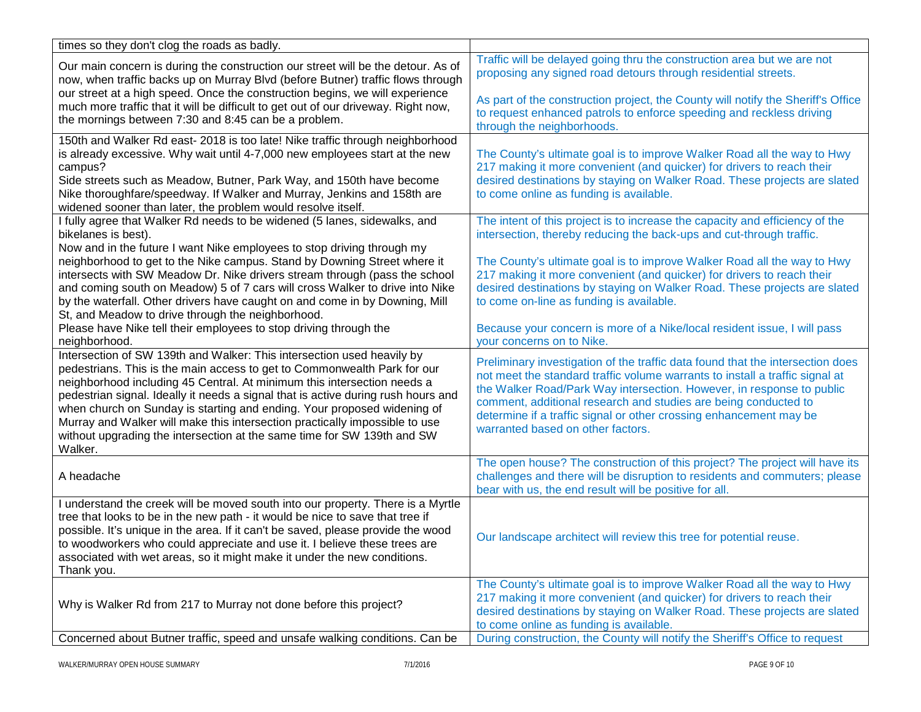| times so they don't clog the roads as badly.                                                                                                                                                                                                                                                                                                                                                                                                                                                                                                                                                                                                                                                                            |                                                                                                                                                                                                                                                                                                                                                                                                                                                                    |
|-------------------------------------------------------------------------------------------------------------------------------------------------------------------------------------------------------------------------------------------------------------------------------------------------------------------------------------------------------------------------------------------------------------------------------------------------------------------------------------------------------------------------------------------------------------------------------------------------------------------------------------------------------------------------------------------------------------------------|--------------------------------------------------------------------------------------------------------------------------------------------------------------------------------------------------------------------------------------------------------------------------------------------------------------------------------------------------------------------------------------------------------------------------------------------------------------------|
| Our main concern is during the construction our street will be the detour. As of<br>now, when traffic backs up on Murray Blvd (before Butner) traffic flows through<br>our street at a high speed. Once the construction begins, we will experience<br>much more traffic that it will be difficult to get out of our driveway. Right now,<br>the mornings between 7:30 and 8:45 can be a problem.<br>through the neighborhoods.                                                                                                                                                                                                                                                                                         | Traffic will be delayed going thru the construction area but we are not<br>proposing any signed road detours through residential streets.<br>As part of the construction project, the County will notify the Sheriff's Office<br>to request enhanced patrols to enforce speeding and reckless driving                                                                                                                                                              |
| 150th and Walker Rd east- 2018 is too late! Nike traffic through neighborhood<br>is already excessive. Why wait until 4-7,000 new employees start at the new<br>campus?<br>Side streets such as Meadow, Butner, Park Way, and 150th have become<br>Nike thoroughfare/speedway. If Walker and Murray, Jenkins and 158th are<br>to come online as funding is available.<br>widened sooner than later, the problem would resolve itself.                                                                                                                                                                                                                                                                                   | The County's ultimate goal is to improve Walker Road all the way to Hwy<br>217 making it more convenient (and quicker) for drivers to reach their<br>desired destinations by staying on Walker Road. These projects are slated                                                                                                                                                                                                                                     |
| I fully agree that Walker Rd needs to be widened (5 lanes, sidewalks, and<br>bikelanes is best).<br>Now and in the future I want Nike employees to stop driving through my<br>neighborhood to get to the Nike campus. Stand by Downing Street where it<br>intersects with SW Meadow Dr. Nike drivers stream through (pass the school<br>and coming south on Meadow) 5 of 7 cars will cross Walker to drive into Nike<br>by the waterfall. Other drivers have caught on and come in by Downing, Mill<br>to come on-line as funding is available.<br>St, and Meadow to drive through the neighborhood.<br>Please have Nike tell their employees to stop driving through the<br>your concerns on to Nike.<br>neighborhood. | The intent of this project is to increase the capacity and efficiency of the<br>intersection, thereby reducing the back-ups and cut-through traffic.<br>The County's ultimate goal is to improve Walker Road all the way to Hwy<br>217 making it more convenient (and quicker) for drivers to reach their<br>desired destinations by staying on Walker Road. These projects are slated<br>Because your concern is more of a Nike/local resident issue, I will pass |
| Intersection of SW 139th and Walker: This intersection used heavily by<br>pedestrians. This is the main access to get to Commonwealth Park for our<br>neighborhood including 45 Central. At minimum this intersection needs a<br>pedestrian signal. Ideally it needs a signal that is active during rush hours and<br>when church on Sunday is starting and ending. Your proposed widening of<br>Murray and Walker will make this intersection practically impossible to use<br>warranted based on other factors.<br>without upgrading the intersection at the same time for SW 139th and SW<br>Walker.                                                                                                                 | Preliminary investigation of the traffic data found that the intersection does<br>not meet the standard traffic volume warrants to install a traffic signal at<br>the Walker Road/Park Way intersection. However, in response to public<br>comment, additional research and studies are being conducted to<br>determine if a traffic signal or other crossing enhancement may be                                                                                   |
| A headache                                                                                                                                                                                                                                                                                                                                                                                                                                                                                                                                                                                                                                                                                                              | The open house? The construction of this project? The project will have its<br>challenges and there will be disruption to residents and commuters; please<br>bear with us, the end result will be positive for all.                                                                                                                                                                                                                                                |
| I understand the creek will be moved south into our property. There is a Myrtle<br>tree that looks to be in the new path - it would be nice to save that tree if<br>possible. It's unique in the area. If it can't be saved, please provide the wood<br>to woodworkers who could appreciate and use it. I believe these trees are<br>associated with wet areas, so it might make it under the new conditions.<br>Thank you.                                                                                                                                                                                                                                                                                             | Our landscape architect will review this tree for potential reuse.                                                                                                                                                                                                                                                                                                                                                                                                 |
| Why is Walker Rd from 217 to Murray not done before this project?                                                                                                                                                                                                                                                                                                                                                                                                                                                                                                                                                                                                                                                       | The County's ultimate goal is to improve Walker Road all the way to Hwy<br>217 making it more convenient (and quicker) for drivers to reach their                                                                                                                                                                                                                                                                                                                  |
| to come online as funding is available.<br>Concerned about Butner traffic, speed and unsafe walking conditions. Can be                                                                                                                                                                                                                                                                                                                                                                                                                                                                                                                                                                                                  | desired destinations by staying on Walker Road. These projects are slated<br>During construction, the County will notify the Sheriff's Office to request                                                                                                                                                                                                                                                                                                           |